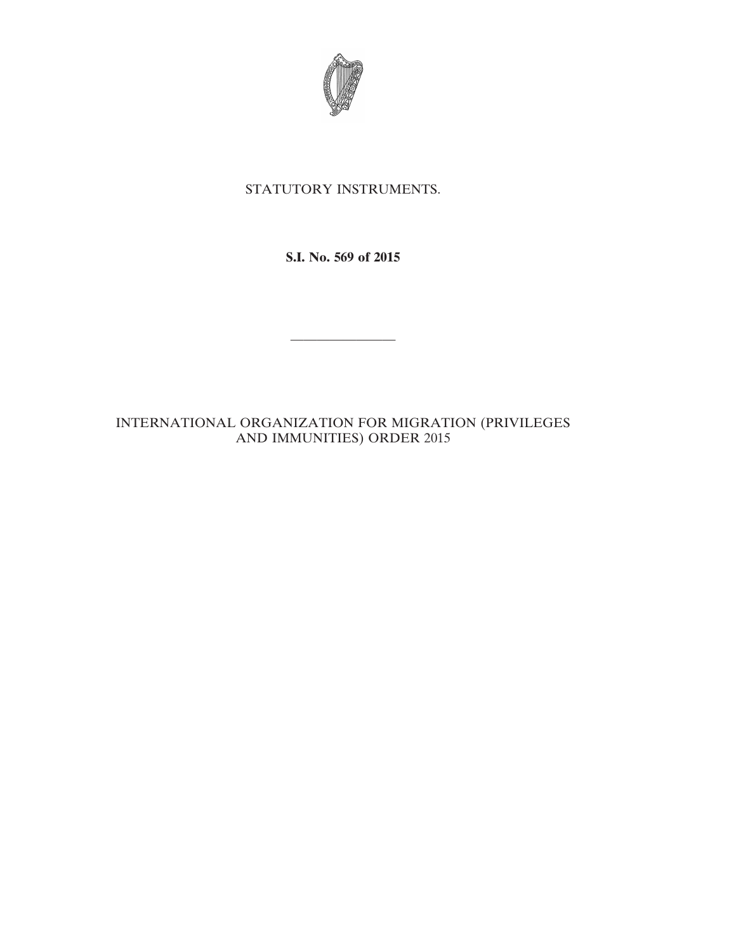

# STATUTORY INSTRUMENTS.

**S.I. No. 569 of 2015**

————————

# INTERNATIONAL ORGANIZATION FOR MIGRATION (PRIVILEGES AND IMMUNITIES) ORDER 2015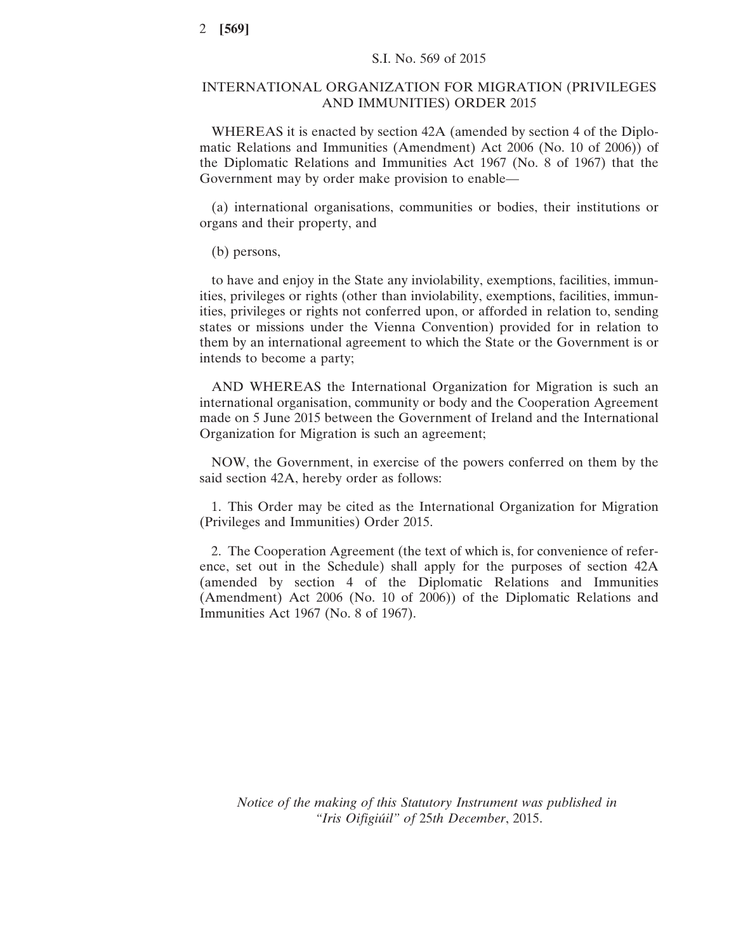## INTERNATIONAL ORGANIZATION FOR MIGRATION (PRIVILEGES AND IMMUNITIES) ORDER 2015

WHEREAS it is enacted by section 42A (amended by section 4 of the Diplomatic Relations and Immunities (Amendment) Act 2006 (No. 10 of 2006)) of the Diplomatic Relations and Immunities Act 1967 (No. 8 of 1967) that the Government may by order make provision to enable—

(a) international organisations, communities or bodies, their institutions or organs and their property, and

(b) persons,

to have and enjoy in the State any inviolability, exemptions, facilities, immunities, privileges or rights (other than inviolability, exemptions, facilities, immunities, privileges or rights not conferred upon, or afforded in relation to, sending states or missions under the Vienna Convention) provided for in relation to them by an international agreement to which the State or the Government is or intends to become a party;

AND WHEREAS the International Organization for Migration is such an international organisation, community or body and the Cooperation Agreement made on 5 June 2015 between the Government of Ireland and the International Organization for Migration is such an agreement;

NOW, the Government, in exercise of the powers conferred on them by the said section 42A, hereby order as follows:

1. This Order may be cited as the International Organization for Migration (Privileges and Immunities) Order 2015.

2. The Cooperation Agreement (the text of which is, for convenience of reference, set out in the Schedule) shall apply for the purposes of section 42A (amended by section 4 of the Diplomatic Relations and Immunities (Amendment) Act 2006 (No. 10 of 2006)) of the Diplomatic Relations and Immunities Act 1967 (No. 8 of 1967).

*Notice of the making of this Statutory Instrument was published in "Iris Oifigiúil" of* 25*th December*, 2015.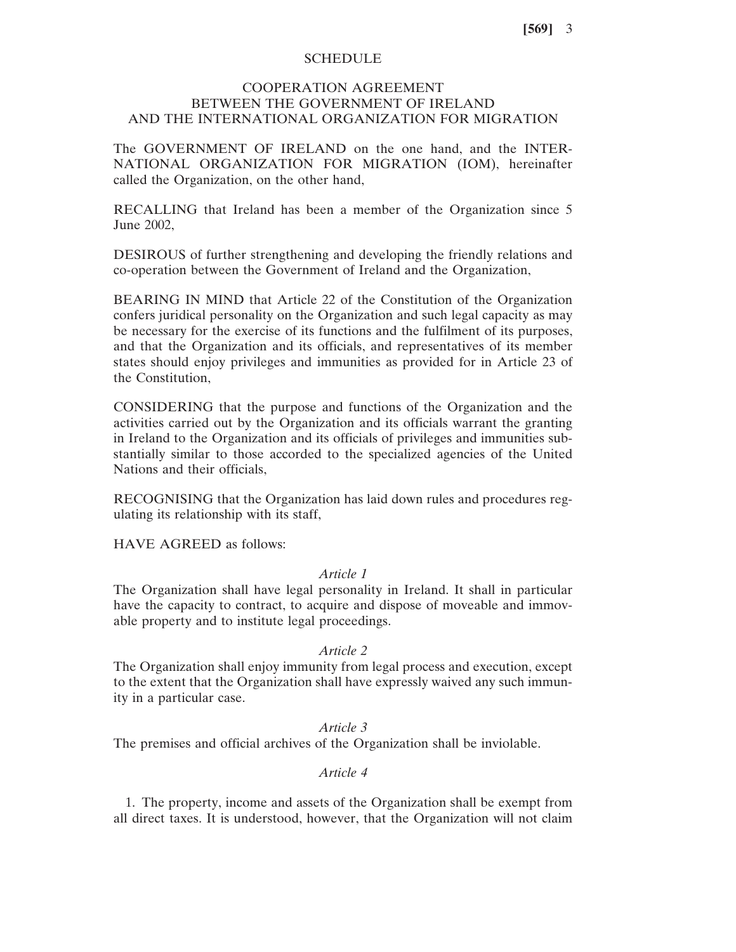## **SCHEDULE**

# COOPERATION AGREEMENT BETWEEN THE GOVERNMENT OF IRELAND AND THE INTERNATIONAL ORGANIZATION FOR MIGRATION

The GOVERNMENT OF IRELAND on the one hand, and the INTER-NATIONAL ORGANIZATION FOR MIGRATION (IOM), hereinafter called the Organization, on the other hand,

RECALLING that Ireland has been a member of the Organization since 5 June 2002,

DESIROUS of further strengthening and developing the friendly relations and co-operation between the Government of Ireland and the Organization,

BEARING IN MIND that Article 22 of the Constitution of the Organization confers juridical personality on the Organization and such legal capacity as may be necessary for the exercise of its functions and the fulfilment of its purposes, and that the Organization and its officials, and representatives of its member states should enjoy privileges and immunities as provided for in Article 23 of the Constitution,

CONSIDERING that the purpose and functions of the Organization and the activities carried out by the Organization and its officials warrant the granting in Ireland to the Organization and its officials of privileges and immunities substantially similar to those accorded to the specialized agencies of the United Nations and their officials,

RECOGNISING that the Organization has laid down rules and procedures regulating its relationship with its staff,

HAVE AGREED as follows:

#### *Article 1*

The Organization shall have legal personality in Ireland. It shall in particular have the capacity to contract, to acquire and dispose of moveable and immovable property and to institute legal proceedings.

#### *Article 2*

The Organization shall enjoy immunity from legal process and execution, except to the extent that the Organization shall have expressly waived any such immunity in a particular case.

# *Article 3*

The premises and official archives of the Organization shall be inviolable.

# *Article 4*

1. The property, income and assets of the Organization shall be exempt from all direct taxes. It is understood, however, that the Organization will not claim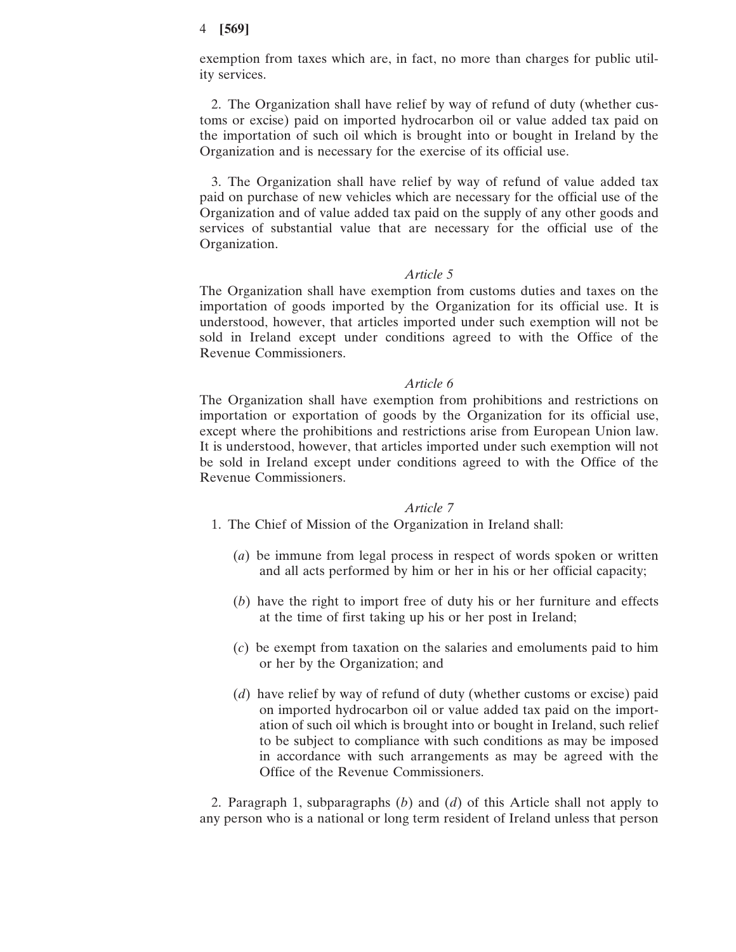## 4 **[569]**

exemption from taxes which are, in fact, no more than charges for public utility services.

2. The Organization shall have relief by way of refund of duty (whether customs or excise) paid on imported hydrocarbon oil or value added tax paid on the importation of such oil which is brought into or bought in Ireland by the Organization and is necessary for the exercise of its official use.

3. The Organization shall have relief by way of refund of value added tax paid on purchase of new vehicles which are necessary for the official use of the Organization and of value added tax paid on the supply of any other goods and services of substantial value that are necessary for the official use of the Organization.

## *Article 5*

The Organization shall have exemption from customs duties and taxes on the importation of goods imported by the Organization for its official use. It is understood, however, that articles imported under such exemption will not be sold in Ireland except under conditions agreed to with the Office of the Revenue Commissioners.

## *Article 6*

The Organization shall have exemption from prohibitions and restrictions on importation or exportation of goods by the Organization for its official use, except where the prohibitions and restrictions arise from European Union law. It is understood, however, that articles imported under such exemption will not be sold in Ireland except under conditions agreed to with the Office of the Revenue Commissioners.

## *Article 7*

1. The Chief of Mission of the Organization in Ireland shall:

- (*a*) be immune from legal process in respect of words spoken or written and all acts performed by him or her in his or her official capacity;
- (*b*) have the right to import free of duty his or her furniture and effects at the time of first taking up his or her post in Ireland;
- (*c*) be exempt from taxation on the salaries and emoluments paid to him or her by the Organization; and
- (*d*) have relief by way of refund of duty (whether customs or excise) paid on imported hydrocarbon oil or value added tax paid on the importation of such oil which is brought into or bought in Ireland, such relief to be subject to compliance with such conditions as may be imposed in accordance with such arrangements as may be agreed with the Office of the Revenue Commissioners.

2. Paragraph 1, subparagraphs (*b*) and (*d*) of this Article shall not apply to any person who is a national or long term resident of Ireland unless that person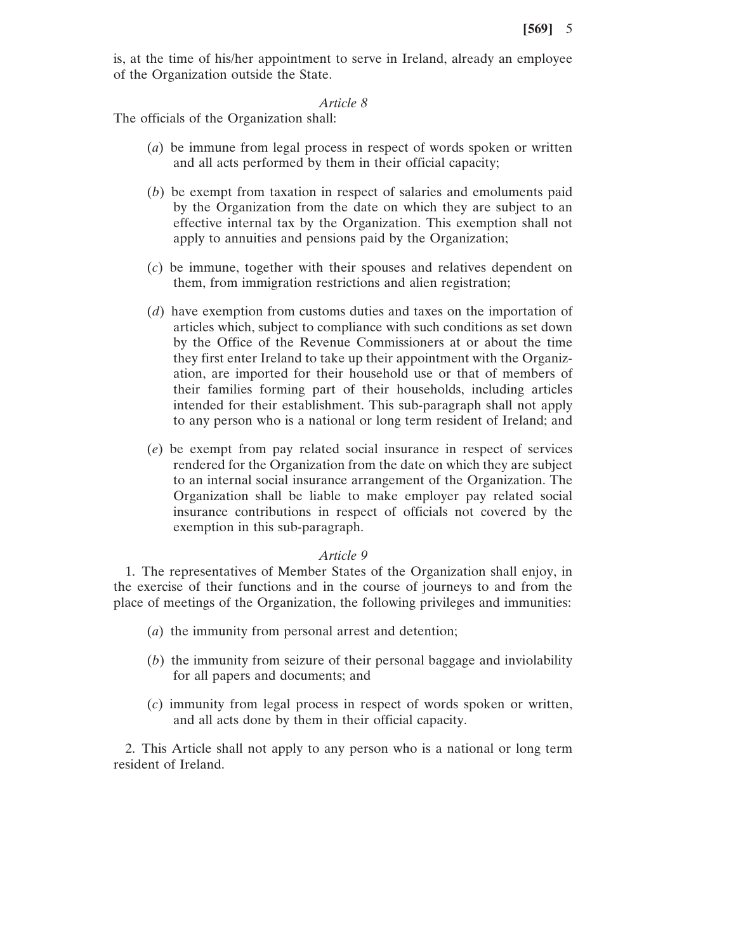is, at the time of his/her appointment to serve in Ireland, already an employee of the Organization outside the State.

#### *Article 8*

The officials of the Organization shall:

- (*a*) be immune from legal process in respect of words spoken or written and all acts performed by them in their official capacity;
- (*b*) be exempt from taxation in respect of salaries and emoluments paid by the Organization from the date on which they are subject to an effective internal tax by the Organization. This exemption shall not apply to annuities and pensions paid by the Organization;
- (*c*) be immune, together with their spouses and relatives dependent on them, from immigration restrictions and alien registration;
- (*d*) have exemption from customs duties and taxes on the importation of articles which, subject to compliance with such conditions as set down by the Office of the Revenue Commissioners at or about the time they first enter Ireland to take up their appointment with the Organization, are imported for their household use or that of members of their families forming part of their households, including articles intended for their establishment. This sub-paragraph shall not apply to any person who is a national or long term resident of Ireland; and
- (*e*) be exempt from pay related social insurance in respect of services rendered for the Organization from the date on which they are subject to an internal social insurance arrangement of the Organization. The Organization shall be liable to make employer pay related social insurance contributions in respect of officials not covered by the exemption in this sub-paragraph.

#### *Article 9*

1. The representatives of Member States of the Organization shall enjoy, in the exercise of their functions and in the course of journeys to and from the place of meetings of the Organization, the following privileges and immunities:

- (*a*) the immunity from personal arrest and detention;
- (*b*) the immunity from seizure of their personal baggage and inviolability for all papers and documents; and
- (*c*) immunity from legal process in respect of words spoken or written, and all acts done by them in their official capacity.

2. This Article shall not apply to any person who is a national or long term resident of Ireland.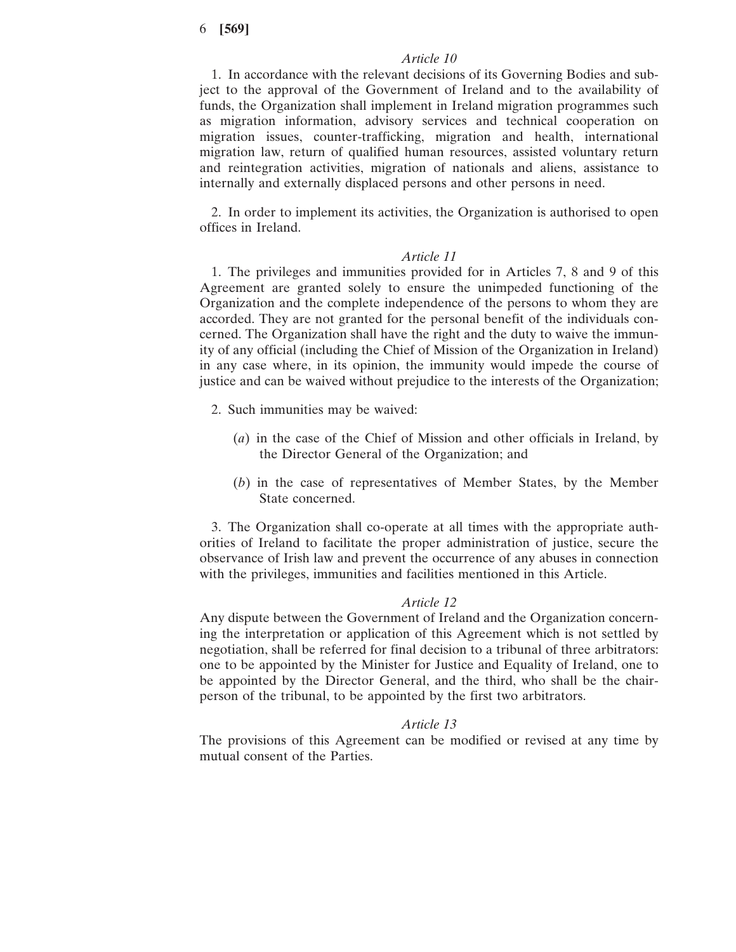6 **[569]**

### *Article 10*

1. In accordance with the relevant decisions of its Governing Bodies and subject to the approval of the Government of Ireland and to the availability of funds, the Organization shall implement in Ireland migration programmes such as migration information, advisory services and technical cooperation on migration issues, counter-trafficking, migration and health, international migration law, return of qualified human resources, assisted voluntary return and reintegration activities, migration of nationals and aliens, assistance to internally and externally displaced persons and other persons in need.

2. In order to implement its activities, the Organization is authorised to open offices in Ireland.

#### *Article 11*

1. The privileges and immunities provided for in Articles 7, 8 and 9 of this Agreement are granted solely to ensure the unimpeded functioning of the Organization and the complete independence of the persons to whom they are accorded. They are not granted for the personal benefit of the individuals concerned. The Organization shall have the right and the duty to waive the immunity of any official (including the Chief of Mission of the Organization in Ireland) in any case where, in its opinion, the immunity would impede the course of justice and can be waived without prejudice to the interests of the Organization;

- 2. Such immunities may be waived:
	- (*a*) in the case of the Chief of Mission and other officials in Ireland, by the Director General of the Organization; and
	- (*b*) in the case of representatives of Member States, by the Member State concerned.

3. The Organization shall co-operate at all times with the appropriate authorities of Ireland to facilitate the proper administration of justice, secure the observance of Irish law and prevent the occurrence of any abuses in connection with the privileges, immunities and facilities mentioned in this Article.

#### *Article 12*

Any dispute between the Government of Ireland and the Organization concerning the interpretation or application of this Agreement which is not settled by negotiation, shall be referred for final decision to a tribunal of three arbitrators: one to be appointed by the Minister for Justice and Equality of Ireland, one to be appointed by the Director General, and the third, who shall be the chairperson of the tribunal, to be appointed by the first two arbitrators.

#### *Article 13*

The provisions of this Agreement can be modified or revised at any time by mutual consent of the Parties.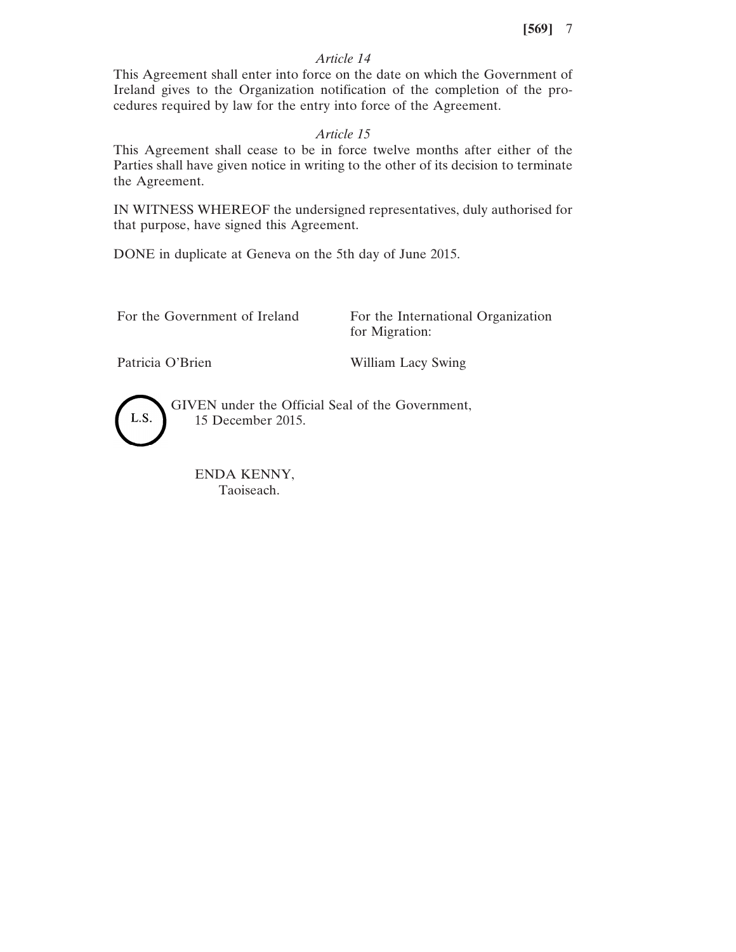# *Article 14*

This Agreement shall enter into force on the date on which the Government of Ireland gives to the Organization notification of the completion of the procedures required by law for the entry into force of the Agreement.

# *Article 15*

This Agreement shall cease to be in force twelve months after either of the Parties shall have given notice in writing to the other of its decision to terminate the Agreement.

IN WITNESS WHEREOF the undersigned representatives, duly authorised for that purpose, have signed this Agreement.

DONE in duplicate at Geneva on the 5th day of June 2015.

For the Government of Ireland For the International Organization for Migration:

Patricia O'Brien William Lacy Swing



GIVEN under the Official Seal of the Government, 15 December 2015.

ENDA KENNY, Taoiseach.